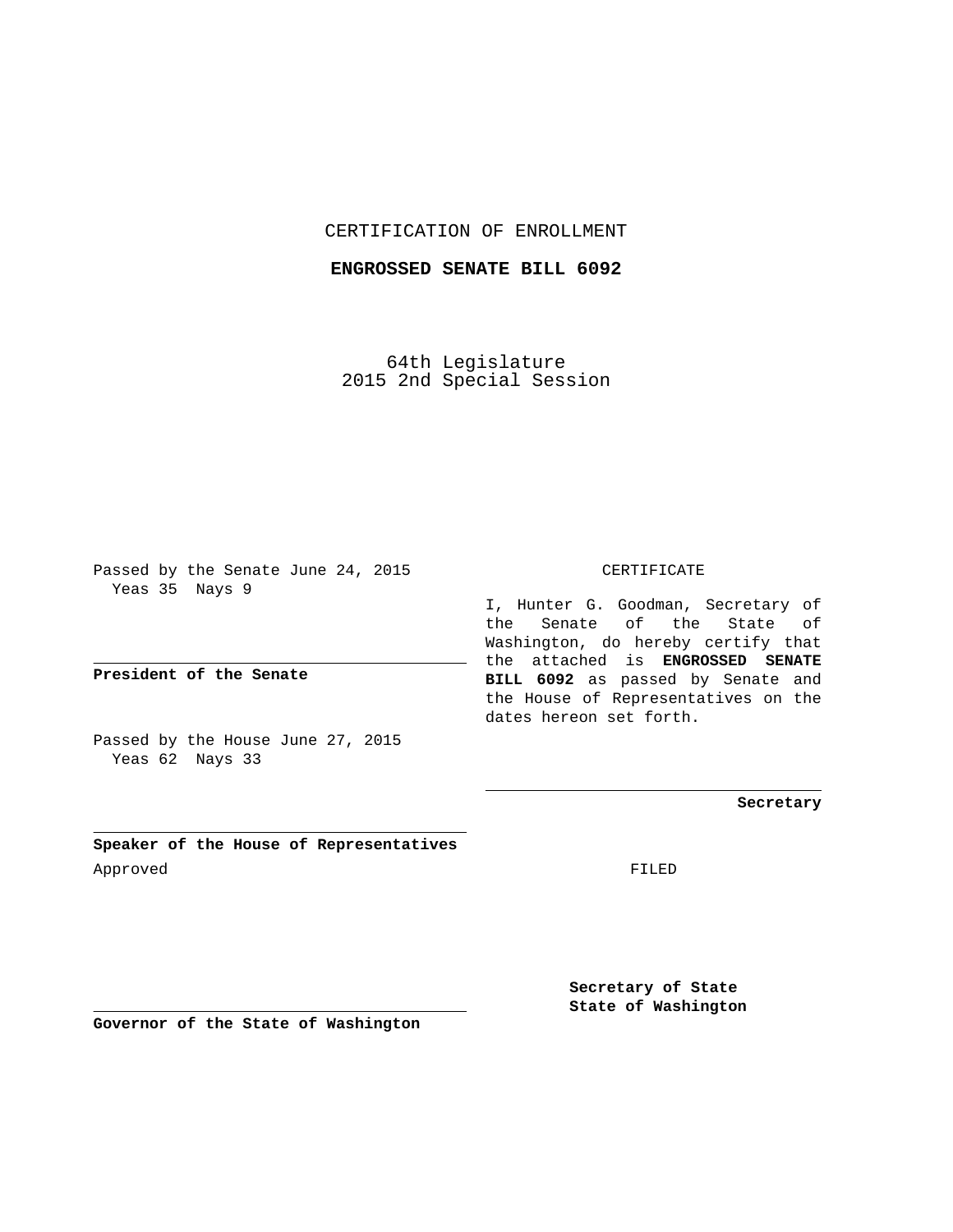## CERTIFICATION OF ENROLLMENT

## **ENGROSSED SENATE BILL 6092**

64th Legislature 2015 2nd Special Session

Passed by the Senate June 24, 2015 Yeas 35 Nays 9

**President of the Senate**

Passed by the House June 27, 2015 Yeas 62 Nays 33

**Speaker of the House of Representatives** Approved FILED

CERTIFICATE

I, Hunter G. Goodman, Secretary of the Senate of the State of Washington, do hereby certify that the attached is **ENGROSSED SENATE BILL 6092** as passed by Senate and the House of Representatives on the dates hereon set forth.

**Secretary**

**Secretary of State State of Washington**

**Governor of the State of Washington**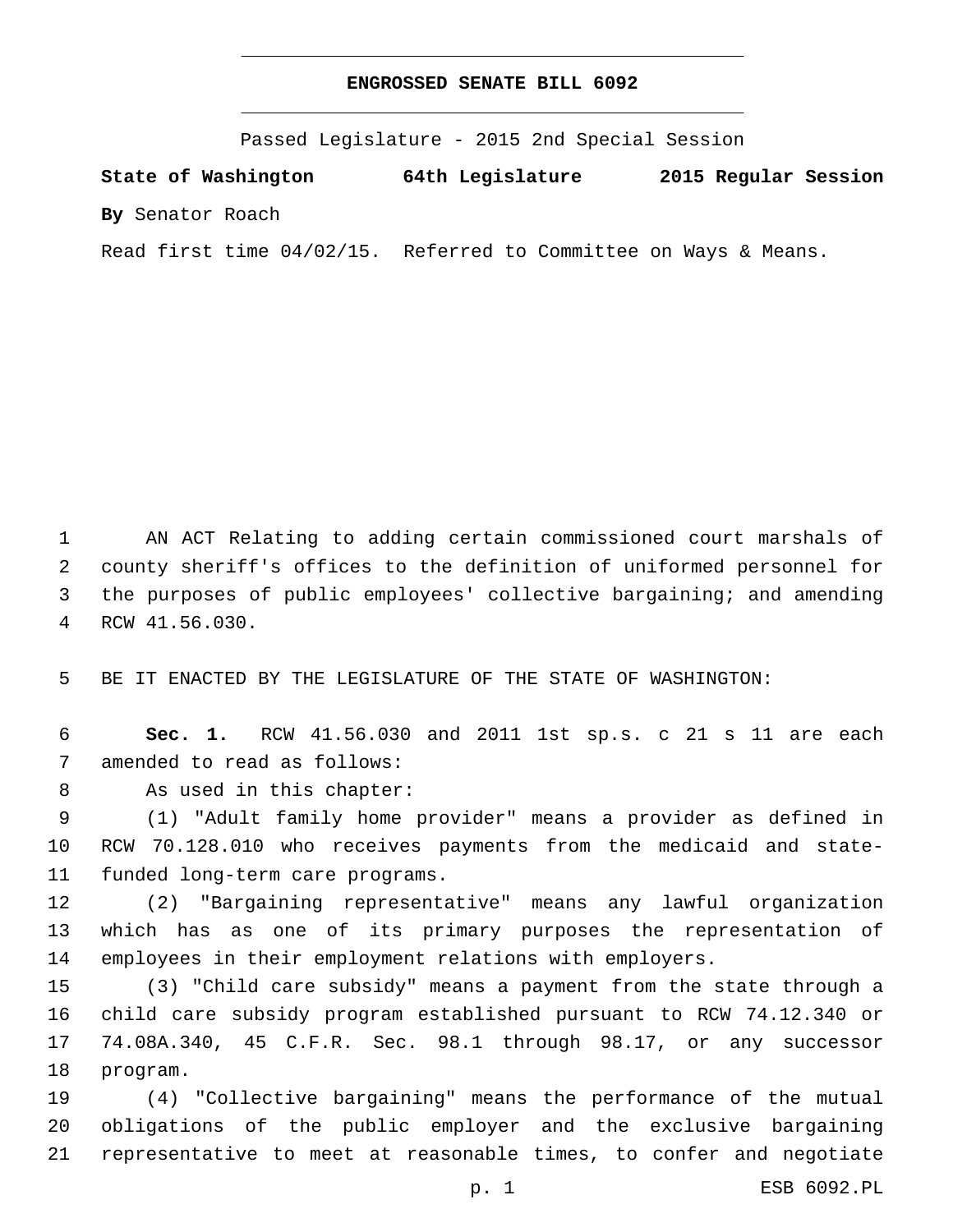## **ENGROSSED SENATE BILL 6092**

Passed Legislature - 2015 2nd Special Session

**State of Washington 64th Legislature 2015 Regular Session**

**By** Senator Roach

Read first time 04/02/15. Referred to Committee on Ways & Means.

 AN ACT Relating to adding certain commissioned court marshals of county sheriff's offices to the definition of uniformed personnel for the purposes of public employees' collective bargaining; and amending RCW 41.56.030.4

5 BE IT ENACTED BY THE LEGISLATURE OF THE STATE OF WASHINGTON:

6 **Sec. 1.** RCW 41.56.030 and 2011 1st sp.s. c 21 s 11 are each 7 amended to read as follows:

8 As used in this chapter:

9 (1) "Adult family home provider" means a provider as defined in 10 RCW 70.128.010 who receives payments from the medicaid and state-11 funded long-term care programs.

12 (2) "Bargaining representative" means any lawful organization 13 which has as one of its primary purposes the representation of 14 employees in their employment relations with employers.

 (3) "Child care subsidy" means a payment from the state through a child care subsidy program established pursuant to RCW 74.12.340 or 74.08A.340, 45 C.F.R. Sec. 98.1 through 98.17, or any successor 18 program.

19 (4) "Collective bargaining" means the performance of the mutual 20 obligations of the public employer and the exclusive bargaining 21 representative to meet at reasonable times, to confer and negotiate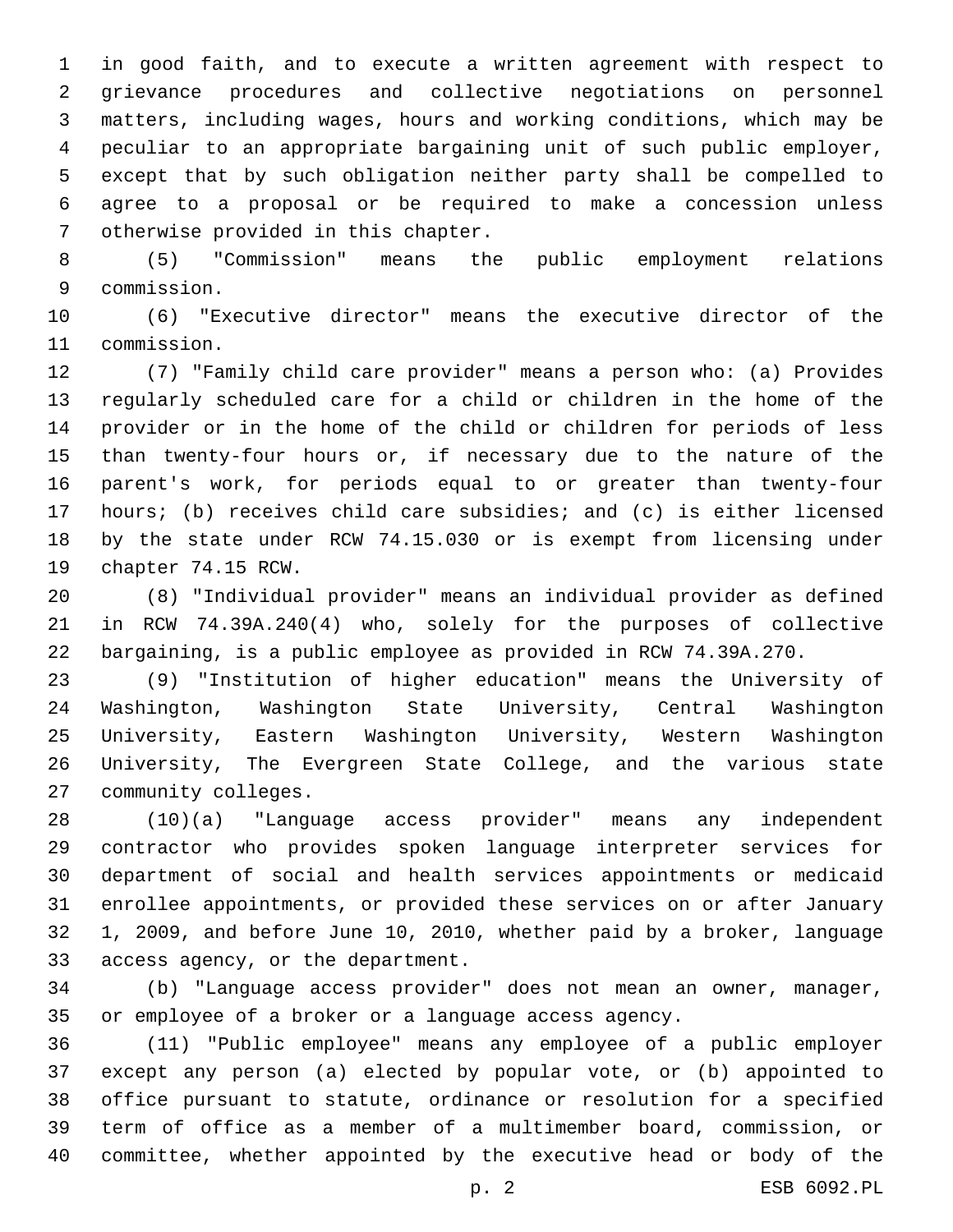in good faith, and to execute a written agreement with respect to grievance procedures and collective negotiations on personnel matters, including wages, hours and working conditions, which may be peculiar to an appropriate bargaining unit of such public employer, except that by such obligation neither party shall be compelled to agree to a proposal or be required to make a concession unless 7 otherwise provided in this chapter.

 (5) "Commission" means the public employment relations commission.9

 (6) "Executive director" means the executive director of the 11 commission.

 (7) "Family child care provider" means a person who: (a) Provides regularly scheduled care for a child or children in the home of the provider or in the home of the child or children for periods of less than twenty-four hours or, if necessary due to the nature of the parent's work, for periods equal to or greater than twenty-four hours; (b) receives child care subsidies; and (c) is either licensed by the state under RCW 74.15.030 or is exempt from licensing under 19 chapter 74.15 RCW.

 (8) "Individual provider" means an individual provider as defined in RCW 74.39A.240(4) who, solely for the purposes of collective bargaining, is a public employee as provided in RCW 74.39A.270.

 (9) "Institution of higher education" means the University of Washington, Washington State University, Central Washington University, Eastern Washington University, Western Washington University, The Evergreen State College, and the various state 27 community colleges.

 (10)(a) "Language access provider" means any independent contractor who provides spoken language interpreter services for department of social and health services appointments or medicaid enrollee appointments, or provided these services on or after January 1, 2009, and before June 10, 2010, whether paid by a broker, language 33 access agency, or the department.

 (b) "Language access provider" does not mean an owner, manager, or employee of a broker or a language access agency.

 (11) "Public employee" means any employee of a public employer except any person (a) elected by popular vote, or (b) appointed to office pursuant to statute, ordinance or resolution for a specified term of office as a member of a multimember board, commission, or committee, whether appointed by the executive head or body of the

p. 2 ESB 6092.PL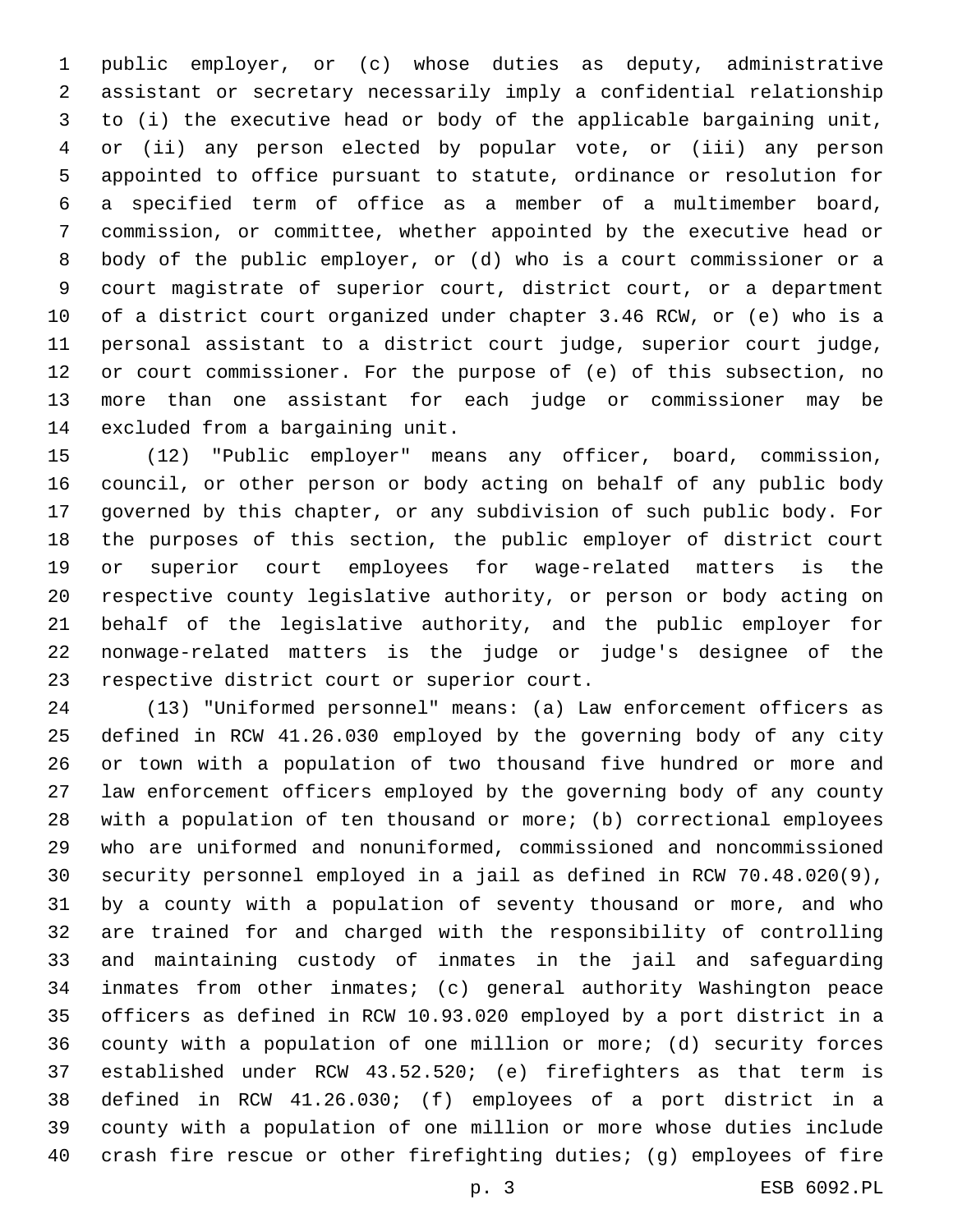public employer, or (c) whose duties as deputy, administrative assistant or secretary necessarily imply a confidential relationship to (i) the executive head or body of the applicable bargaining unit, or (ii) any person elected by popular vote, or (iii) any person appointed to office pursuant to statute, ordinance or resolution for a specified term of office as a member of a multimember board, commission, or committee, whether appointed by the executive head or body of the public employer, or (d) who is a court commissioner or a court magistrate of superior court, district court, or a department of a district court organized under chapter 3.46 RCW, or (e) who is a personal assistant to a district court judge, superior court judge, or court commissioner. For the purpose of (e) of this subsection, no more than one assistant for each judge or commissioner may be 14 excluded from a bargaining unit.

 (12) "Public employer" means any officer, board, commission, council, or other person or body acting on behalf of any public body governed by this chapter, or any subdivision of such public body. For the purposes of this section, the public employer of district court or superior court employees for wage-related matters is the respective county legislative authority, or person or body acting on behalf of the legislative authority, and the public employer for nonwage-related matters is the judge or judge's designee of the 23 respective district court or superior court.

 (13) "Uniformed personnel" means: (a) Law enforcement officers as defined in RCW 41.26.030 employed by the governing body of any city or town with a population of two thousand five hundred or more and law enforcement officers employed by the governing body of any county with a population of ten thousand or more; (b) correctional employees who are uniformed and nonuniformed, commissioned and noncommissioned security personnel employed in a jail as defined in RCW 70.48.020(9), by a county with a population of seventy thousand or more, and who are trained for and charged with the responsibility of controlling and maintaining custody of inmates in the jail and safeguarding inmates from other inmates; (c) general authority Washington peace officers as defined in RCW 10.93.020 employed by a port district in a county with a population of one million or more; (d) security forces established under RCW 43.52.520; (e) firefighters as that term is defined in RCW 41.26.030; (f) employees of a port district in a county with a population of one million or more whose duties include crash fire rescue or other firefighting duties; (g) employees of fire